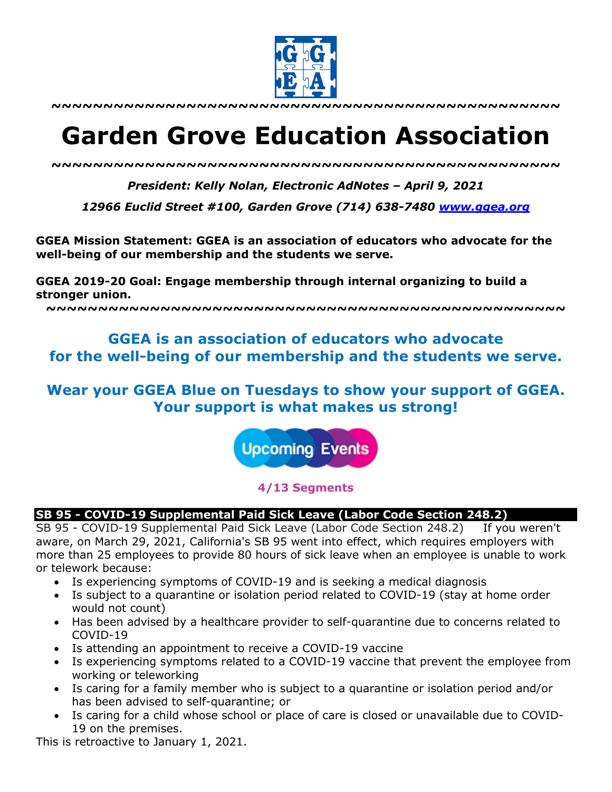

**~~~~~~~~~~~~~~~~~~~~~~~~~~~~~~~~~~~~~~~~~~~~~~~~~**

# **Garden Grove Education Association**

*~~~~~~~~~~~~~~~~~~~~~~~~~~~~~~~~~~~~~~~~~~~~~~~~~*

*President: Kelly Nolan, Electronic AdNotes – April 9, 2021*

*12966 Euclid Street #100, Garden Grove (714) 638-7480 www.ggea.org*

**GGEA Mission Statement: GGEA is an association of educators who advocate for the well-being of our membership and the students we serve.** 

**GGEA 2019-20 Goal: Engage membership through internal organizing to build a stronger union.**

**~~~~~~~~~~~~~~~~~~~~~~~~~~~~~~~~~~~~~~~~~~~~~~~~~~**

# **GGEA is an association of educators who advocate for the well-being of our membership and the students we serve.**

# **Wear your GGEA Blue on Tuesdays to show your support of GGEA. Your support is what makes us strong!**

**Upcoming Events** 

**4/13 Segments**

# **SB 95 - COVID-19 Supplemental Paid Sick Leave (Labor Code Section 248.2)**

SB 95 - COVID-19 Supplemental Paid Sick Leave (Labor Code Section 248.2) If you weren't aware, on March 29, 2021, California's SB 95 went into effect, which requires employers with more than 25 employees to provide 80 hours of sick leave when an employee is unable to work or telework because:

- Is experiencing symptoms of COVID-19 and is seeking a medical diagnosis
- Is subject to a quarantine or isolation period related to COVID-19 (stay at home order would not count)
- Has been advised by a healthcare provider to self-quarantine due to concerns related to COVID-19
- Is attending an appointment to receive a COVID-19 vaccine
- Is experiencing symptoms related to a COVID-19 vaccine that prevent the employee from working or teleworking
- Is caring for a family member who is subject to a quarantine or isolation period and/or has been advised to self-quarantine; or
- Is caring for a child whose school or place of care is closed or unavailable due to COVID-19 on the premises.

This is retroactive to January 1, 2021.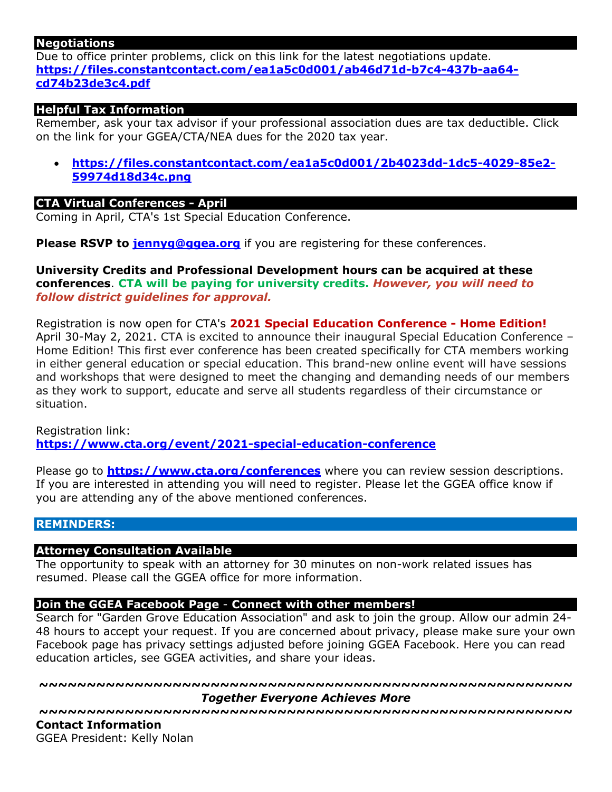## **Negotiations**

Due to office printer problems, click on this link for the latest negotiations update. **https://files.constantcontact.com/ea1a5c0d001/ab46d71d-b7c4-437b-aa64 cd74b23de3c4.pdf**

# **Helpful Tax Information**

Remember, ask your tax advisor if your professional association dues are tax deductible. Click on the link for your GGEA/CTA/NEA dues for the 2020 tax year.

• **https://files.constantcontact.com/ea1a5c0d001/2b4023dd-1dc5-4029-85e2- 59974d18d34c.png**

### **CTA Virtual Conferences - April**

Coming in April, CTA's 1st Special Education Conference.

**Please RSVP to jennyg@ggea.org** if you are registering for these conferences.

**University Credits and Professional Development hours can be acquired at these conferences**. **CTA will be paying for university credits.** *However, you will need to follow district guidelines for approval.*

Registration is now open for CTA's **2021 Special Education Conference - Home Edition!** April 30-May 2, 2021. CTA is excited to announce their inaugural Special Education Conference – Home Edition! This first ever conference has been created specifically for CTA members working in either general education or special education. This brand-new online event will have sessions and workshops that were designed to meet the changing and demanding needs of our members as they work to support, educate and serve all students regardless of their circumstance or situation.

Registration link: **https://www.cta.org/event/2021-special-education-conference**

Please go to **https://www.cta.org/conferences** where you can review session descriptions. If you are interested in attending you will need to register. Please let the GGEA office know if you are attending any of the above mentioned conferences.

## **REMINDERS:**

### **Attorney Consultation Available**

The opportunity to speak with an attorney for 30 minutes on non-work related issues has resumed. Please call the GGEA office for more information.

### **Join the GGEA Facebook Page** - **Connect with other members!**

Search for "Garden Grove Education Association" and ask to join the group. Allow our admin 24- 48 hours to accept your request. If you are concerned about privacy, please make sure your own Facebook page has privacy settings adjusted before joining GGEA Facebook. Here you can read education articles, see GGEA activities, and share your ideas.

**~~~~~~~~~~~~~~~~~~~~~~~~~~~~~~~~~~~~~~~~~~~~~~~~~~~~~~~~** *Together Everyone Achieves More*

**~~~~~~~~~~~~~~~~~~~~~~~~~~~~~~~~~~~~~~~~~~~~~~~~~~~~~~~~ Contact Information**

GGEA President: Kelly Nolan